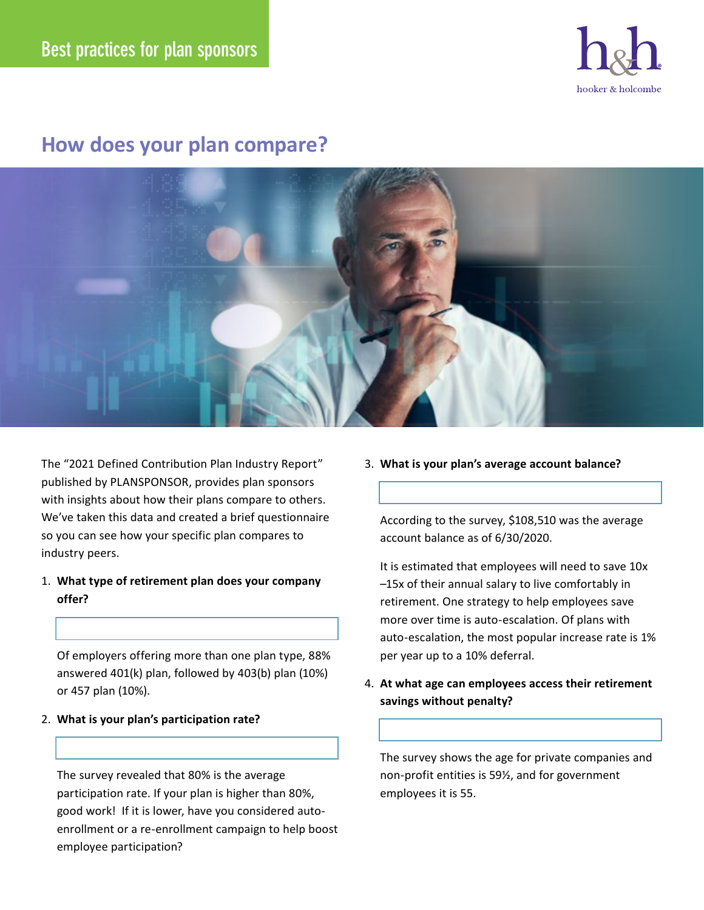

## **How does your plan compare?**



The "2021 Defined Contribution Plan Industry Report" published by PLANSPONSOR, provides plan sponsors with insights about how their plans compare to others. We've taken this data and created a brief questionnaire so you can see how your specific plan compares to industry peers.

1. **What type of retirement plan does your company offer?** 

 Of employers offering more than one plan type, 88% answered 401(k) plan, followed by 403(b) plan (10%) or 457 plan (10%).

2. **What is your plan's participation rate?**

 The survey revealed that 80% is the average participation rate. If your plan is higher than 80%, good work! If it is lower, have you considered autoenrollment or a re-enrollment campaign to help boost employee participation?

3. **What is your plan's average account balance?**

 According to the survey, \$108,510 was the average account balance as of 6/30/2020.

 It is estimated that employees will need to save 10x –15x of their annual salary to live comfortably in retirement. One strategy to help employees save more over time is auto-escalation. Of plans with auto-escalation, the most popular increase rate is 1% per year up to a 10% deferral.

4. **At what age can employees access their retirement savings without penalty?** 

 The survey shows the age for private companies and non-profit entities is 59½, and for government employees it is 55.